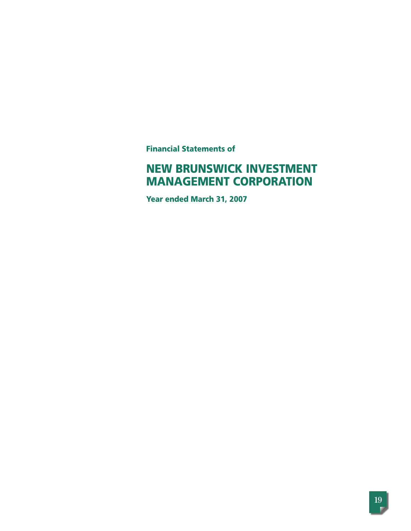**Financial Statements of**

# **NEW BRUNSWICK INVESTMENT MANAGEMENT CORPORATION**

**Year ended March 31, 2007**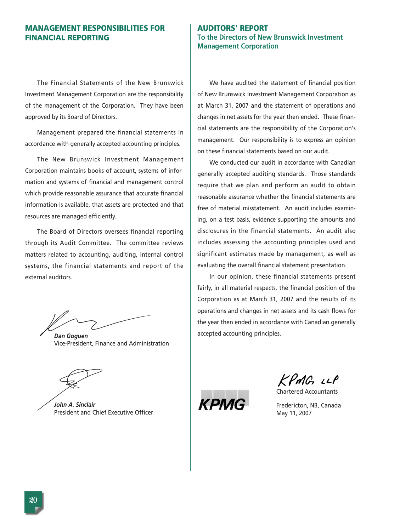# **MANAGEMENT RESPONSIBILITIES FOR FINANCIAL REPORTING**

The Financial Statements of the New Brunswick Investment Management Corporation are the responsibility of the management of the Corporation. They have been approved by its Board of Directors.

Management prepared the financial statements in accordance with generally accepted accounting principles.

The New Brunswick Investment Management Corporation maintains books of account, systems of information and systems of financial and management control which provide reasonable assurance that accurate financial information is available, that assets are protected and that resources are managed efficiently.

The Board of Directors oversees financial reporting through its Audit Committee. The committee reviews matters related to accounting, auditing, internal control systems, the financial statements and report of the external auditors.

*Dan Goguen* Vice-President, Finance and Administration

*John A. Sinclair* President and Chief Executive Officer

# **AUDITORS' REPORT To the Directors of New Brunswick Investment Management Corporation**

We have audited the statement of financial position of New Brunswick Investment Management Corporation as at March 31, 2007 and the statement of operations and changes in net assets for the year then ended. These financial statements are the responsibility of the Corporation's management. Our responsibility is to express an opinion on these financial statements based on our audit.

We conducted our audit in accordance with Canadian generally accepted auditing standards. Those standards require that we plan and perform an audit to obtain reasonable assurance whether the financial statements are free of material misstatement. An audit includes examining, on a test basis, evidence supporting the amounts and disclosures in the financial statements. An audit also includes assessing the accounting principles used and significant estimates made by management, as well as evaluating the overall financial statement presentation.

In our opinion, these financial statements present fairly, in all material respects, the financial position of the Corporation as at March 31, 2007 and the results of its operations and changes in net assets and its cash flows for the year then ended in accordance with Canadian generally accepted accounting principles.

KPMG LLP

Chartered Accountants



Fredericton, NB, Canada May 11, 2007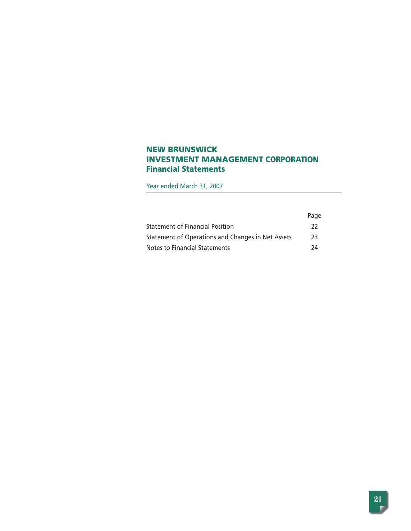# **NEW BRUNSWICK INVESTMENT MANAGEMENT CORPORATION Financial Statements**

Year ended March 31, 2007

|                                                   | Page |
|---------------------------------------------------|------|
| <b>Statement of Financial Position</b>            | 22   |
| Statement of Operations and Changes in Net Assets | 23   |
| Notes to Financial Statements                     | 24   |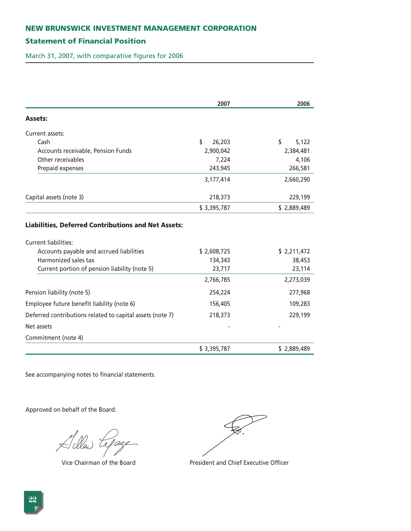# **Statement of Financial Position**

March 31, 2007, with comparative figures for 2006

| 2007                                                             |                        | 2006                  |
|------------------------------------------------------------------|------------------------|-----------------------|
| <b>Assets:</b>                                                   |                        |                       |
| Current assets:                                                  |                        |                       |
| Cash                                                             | \$<br>26,203           | \$<br>5,122           |
| Accounts receivable, Pension Funds                               | 2,900,042              | 2,384,481             |
| Other receivables                                                | 7,224                  | 4,106                 |
| Prepaid expenses                                                 | 243,945                | 266,581               |
|                                                                  | 3,177,414              | 2,660,290             |
| Capital assets (note 3)                                          | 218,373                | 229,199               |
|                                                                  | \$3,395,787            | \$2,889,489           |
| Current liabilities:                                             |                        |                       |
|                                                                  |                        |                       |
| Accounts payable and accrued liabilities<br>Harmonized sales tax | \$2,608,725<br>134,343 | \$2,211,472<br>38,453 |
| Current portion of pension liability (note 5)                    | 23,717                 | 23,114                |
|                                                                  | 2,766,785              | 2,273,039             |
| Pension liability (note 5)                                       | 254,224                | 277,968               |
| Employee future benefit liability (note 6)                       | 156,405                | 109,283               |
| Deferred contributions related to capital assets (note 7)        | 218,373                | 229,199               |
| Net assets                                                       |                        |                       |
| Commitment (note 4)                                              |                        |                       |
|                                                                  | \$3,395,787            | \$2,889,489           |

See accompanying notes to financial statements.

Lilled Lepage

Vice Chairman of the Board President and Chief Executive Officer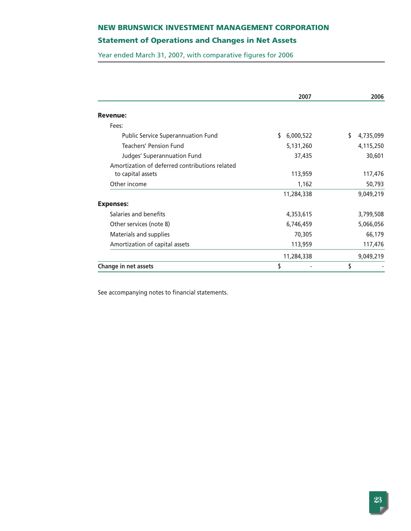# **Statement of Operations and Changes in Net Assets**

Year ended March 31, 2007, with comparative figures for 2006

|                                                                     | 2007            | 2006           |
|---------------------------------------------------------------------|-----------------|----------------|
| <b>Revenue:</b>                                                     |                 |                |
| Fees:                                                               |                 |                |
| <b>Public Service Superannuation Fund</b>                           | \$<br>6,000,522 | 4,735,099<br>S |
| <b>Teachers' Pension Fund</b>                                       | 5,131,260       | 4,115,250      |
| Judges' Superannuation Fund                                         | 37,435          | 30,601         |
| Amortization of deferred contributions related<br>to capital assets | 113,959         | 117,476        |
| Other income                                                        | 1,162           | 50,793         |
|                                                                     | 11,284,338      | 9,049,219      |
| <b>Expenses:</b>                                                    |                 |                |
| Salaries and benefits                                               | 4,353,615       | 3,799,508      |
| Other services (note 8)                                             | 6,746,459       | 5,066,056      |
| Materials and supplies                                              | 70,305          | 66,179         |
| Amortization of capital assets                                      | 113,959         | 117,476        |
|                                                                     | 11,284,338      | 9,049,219      |
| Change in net assets                                                | \$              | \$             |

See accompanying notes to financial statements.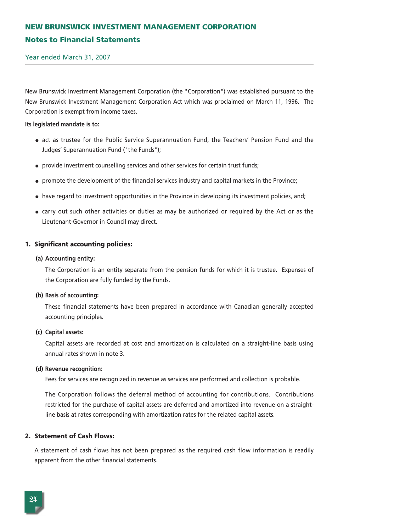# **NEW BRUNSWICK INVESTMENT MANAGEMENT CORPORATION Notes to Financial Statements**

Year ended March 31, 2007

New Brunswick Investment Management Corporation (the "Corporation") was established pursuant to the New Brunswick Investment Management Corporation Act which was proclaimed on March 11, 1996. The Corporation is exempt from income taxes.

#### **Its legislated mandate is to:**

- act as trustee for the Public Service Superannuation Fund, the Teachers' Pension Fund and the Judges' Superannuation Fund ("the Funds");
- provide investment counselling services and other services for certain trust funds;
- promote the development of the financial services industry and capital markets in the Province;
- have regard to investment opportunities in the Province in developing its investment policies, and;
- carry out such other activities or duties as may be authorized or required by the Act or as the Lieutenant-Governor in Council may direct.

#### **1. Significant accounting policies:**

#### **(a) Accounting entity:**

The Corporation is an entity separate from the pension funds for which it is trustee. Expenses of the Corporation are fully funded by the Funds.

#### **(b) Basis of accounting:**

These financial statements have been prepared in accordance with Canadian generally accepted accounting principles.

#### **(c) Capital assets:**

Capital assets are recorded at cost and amortization is calculated on a straight-line basis using annual rates shown in note 3.

#### **(d) Revenue recognition:**

Fees for services are recognized in revenue as services are performed and collection is probable.

The Corporation follows the deferral method of accounting for contributions. Contributions restricted for the purchase of capital assets are deferred and amortized into revenue on a straightline basis at rates corresponding with amortization rates for the related capital assets.

#### **2. Statement of Cash Flows:**

A statement of cash flows has not been prepared as the required cash flow information is readily apparent from the other financial statements.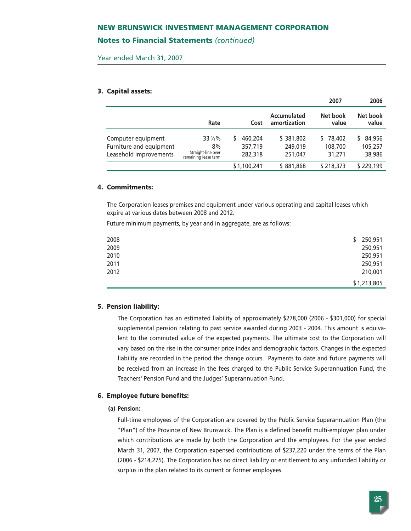## **Notes to Financial Statements** *(continued)*

Year ended March 31, 2007

#### **3. Capital assets:**

|                                                                         |                                                             |                               |                                 | 2007                          | 2006                        |
|-------------------------------------------------------------------------|-------------------------------------------------------------|-------------------------------|---------------------------------|-------------------------------|-----------------------------|
|                                                                         | Rate                                                        | Cost                          | Accumulated<br>amortization     | Net book<br>value             | Net book<br>value           |
| Computer equipment<br>Furniture and equipment<br>Leasehold improvements | 33 1/3%<br>8%<br>Straight-line over<br>remaining lease term | 460,204<br>357,719<br>282,318 | \$381,802<br>249,019<br>251,047 | \$78,402<br>108,700<br>31,271 | 84,956<br>105,257<br>38,986 |
|                                                                         |                                                             | \$1,100,241                   | \$881,868                       | \$218,373                     | \$229,199                   |

#### **4. Commitments:**

The Corporation leases premises and equipment under various operating and capital leases which expire at various dates between 2008 and 2012.

Future minimum payments, by year and in aggregate, are as follows:

|      |    | \$1,213,805 |
|------|----|-------------|
| 2012 |    | 210,001     |
| 2011 |    | 250,951     |
| 2010 |    | 250,951     |
| 2009 |    | 250,951     |
| 2008 | S. | 250,951     |
|      |    |             |

#### **5. Pension liability:**

The Corporation has an estimated liability of approximately \$278,000 (2006 - \$301,000) for special supplemental pension relating to past service awarded during 2003 - 2004. This amount is equivalent to the commuted value of the expected payments. The ultimate cost to the Corporation will vary based on the rise in the consumer price index and demographic factors. Changes in the expected liability are recorded in the period the change occurs. Payments to date and future payments will be received from an increase in the fees charged to the Public Service Superannuation Fund, the Teachers' Pension Fund and the Judges' Superannuation Fund.

#### **6. Employee future benefits:**

#### **(a) Pension:**

Full-time employees of the Corporation are covered by the Public Service Superannuation Plan (the "Plan") of the Province of New Brunswick. The Plan is a defined benefit multi-employer plan under which contributions are made by both the Corporation and the employees. For the year ended March 31, 2007, the Corporation expensed contributions of \$237,220 under the terms of the Plan (2006 - \$214,275). The Corporation has no direct liability or entitlement to any unfunded liability or surplus in the plan related to its current or former employees.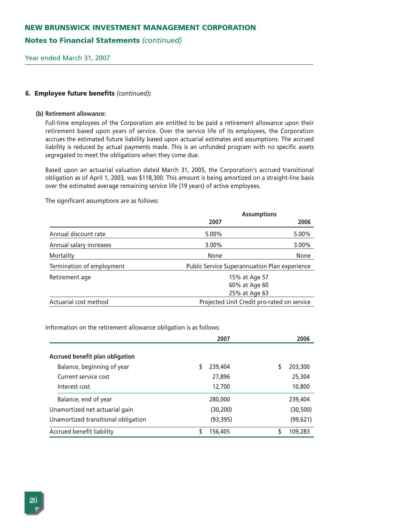# **Notes to Financial Statements** *(continued)*

Year ended March 31, 2007

#### **6. Employee future benefits** *(continued)***:**

#### **(b) Retirement allowance:**

Full-time employees of the Corporation are entitled to be paid a retirement allowance upon their retirement based upon years of service. Over the service life of its employees, the Corporation accrues the estimated future liability based upon actuarial estimates and assumptions. The accrued liability is reduced by actual payments made. This is an unfunded program with no specific assets segregated to meet the obligations when they come due.

Based upon an actuarial valuation dated March 31, 2005, the Corporation's accrued transitional obligation as of April 1, 2003, was \$118,300. This amount is being amortized on a straight-line basis over the estimated average remaining service life (19 years) of active employees.

The significant assumptions are as follows:

|                           | <b>Assumptions</b>                            |          |  |
|---------------------------|-----------------------------------------------|----------|--|
|                           | 2007                                          | 2006     |  |
| Annual discount rate      | 5.00%                                         | 5.00%    |  |
| Annual salary increases   | $3.00\%$                                      | $3.00\%$ |  |
| Mortality                 | None                                          | None     |  |
| Termination of employment | Public Service Superannuation Plan experience |          |  |
| Retirement age            | 15% at Age 57                                 |          |  |
|                           | 60% at Age 60                                 |          |  |
|                           | 25% at Age 63                                 |          |  |
| Actuarial cost method     | Projected Unit Credit pro-rated on service    |          |  |

Information on the retirement allowance obligation is as follows:

|                                     | 2007         | 2006      |
|-------------------------------------|--------------|-----------|
| Accrued benefit plan obligation     |              |           |
| Balance, beginning of year          | 239,404<br>S | 203,300   |
| Current service cost                | 27,896       | 25,304    |
| Interest cost                       | 12,700       | 10,800    |
| Balance, end of year                | 280,000      | 239,404   |
| Unamortized net actuarial gain      | (30, 200)    | (30, 500) |
| Unamortized transitional obligation | (93, 395)    | (99, 621) |
| Accrued benefit liability           | 156,405      | 109,283   |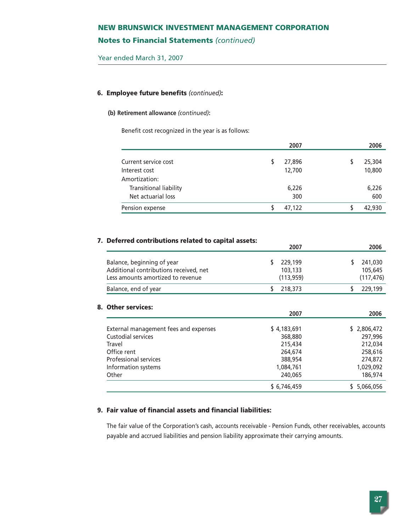# **Notes to Financial Statements** *(continued)*

Year ended March 31, 2007

## **6. Employee future benefits** *(continued)***:**

#### **(b) Retirement allowance** *(continued)***:**

Benefit cost recognized in the year is as follows:

|                        | 2007   | 2006   |
|------------------------|--------|--------|
|                        |        |        |
| Current service cost   | 27,896 | 25,304 |
| Interest cost          | 12,700 | 10,800 |
| Amortization:          |        |        |
| Transitional liability | 6,226  | 6,226  |
| Net actuarial loss     | 300    | 600    |
| Pension expense        | 47.122 | 42,930 |

# **7. Deferred contributions related to capital assets:**

|                                                                                                           | 2007                             | 2006                             |
|-----------------------------------------------------------------------------------------------------------|----------------------------------|----------------------------------|
| Balance, beginning of year<br>Additional contributions received, net<br>Less amounts amortized to revenue | 229,199<br>103,133<br>(113, 959) | 241,030<br>105,645<br>(117, 476) |
| Balance, end of year                                                                                      | 218,373                          | 229,199                          |
|                                                                                                           |                                  |                                  |

# **8. Other services:**

|                                       | 2007        | 2006        |
|---------------------------------------|-------------|-------------|
| External management fees and expenses | \$4,183,691 | \$2,806,472 |
|                                       |             |             |
| Custodial services                    | 368,880     | 297,996     |
| Travel                                | 215,434     | 212,034     |
| Office rent                           | 264,674     | 258,616     |
| <b>Professional services</b>          | 388,954     | 274,872     |
| Information systems                   | 1,084,761   | 1,029,092   |
| Other                                 | 240,065     | 186,974     |
|                                       | \$6,746,459 | \$5,066,056 |

# **9. Fair value of financial assets and financial liabilities:**

The fair value of the Corporation's cash, accounts receivable - Pension Funds, other receivables, accounts payable and accrued liabilities and pension liability approximate their carrying amounts.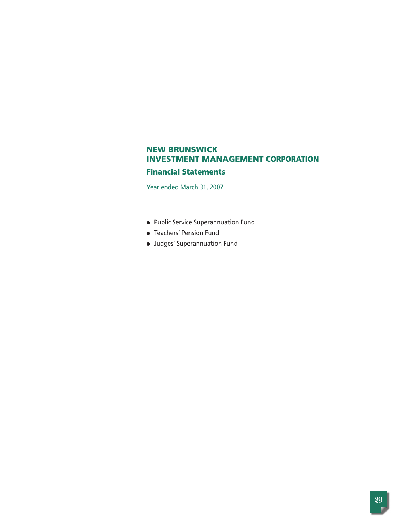# **Financial Statements**

Year ended March 31, 2007

- Public Service Superannuation Fund
- Teachers' Pension Fund
- Judges' Superannuation Fund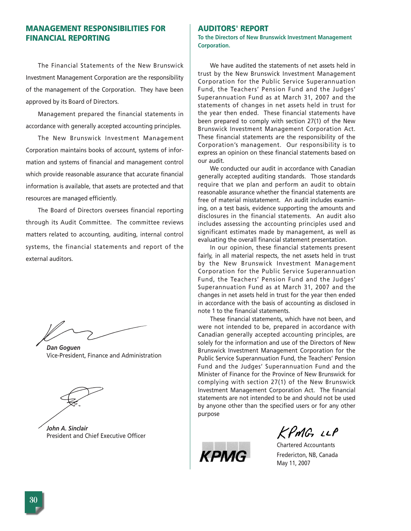# **MANAGEMENT RESPONSIBILITIES FOR FINANCIAL REPORTING**

The Financial Statements of the New Brunswick Investment Management Corporation are the responsibility of the management of the Corporation. They have been approved by its Board of Directors.

Management prepared the financial statements in accordance with generally accepted accounting principles.

The New Brunswick Investment Management Corporation maintains books of account, systems of information and systems of financial and management control which provide reasonable assurance that accurate financial information is available, that assets are protected and that resources are managed efficiently.

The Board of Directors oversees financial reporting through its Audit Committee. The committee reviews matters related to accounting, auditing, internal control systems, the financial statements and report of the external auditors.

*Dan Goguen* Vice-President, Finance and Administration

*John A. Sinclair* President and Chief Executive Officer

#### **AUDITORS' REPORT**

**To the Directors of New Brunswick Investment Management Corporation.** 

We have audited the statements of net assets held in trust by the New Brunswick Investment Management Corporation for the Public Service Superannuation Fund, the Teachers' Pension Fund and the Judges' Superannuation Fund as at March 31, 2007 and the statements of changes in net assets held in trust for the year then ended. These financial statements have been prepared to comply with section 27(1) of the New Brunswick Investment Management Corporation Act. These financial statements are the responsibility of the Corporation's management. Our responsibility is to express an opinion on these financial statements based on our audit.

We conducted our audit in accordance with Canadian generally accepted auditing standards. Those standards require that we plan and perform an audit to obtain reasonable assurance whether the financial statements are free of material misstatement. An audit includes examining, on a test basis, evidence supporting the amounts and disclosures in the financial statements. An audit also includes assessing the accounting principles used and significant estimates made by management, as well as evaluating the overall financial statement presentation.

In our opinion, these financial statements present fairly, in all material respects, the net assets held in trust by the New Brunswick Investment Management Corporation for the Public Service Superannuation Fund, the Teachers' Pension Fund and the Judges' Superannuation Fund as at March 31, 2007 and the changes in net assets held in trust for the year then ended in accordance with the basis of accounting as disclosed in note 1 to the financial statements.

These financial statements, which have not been, and were not intended to be, prepared in accordance with Canadian generally accepted accounting principles, are solely for the information and use of the Directors of New Brunswick Investment Management Corporation for the Public Service Superannuation Fund, the Teachers' Pension Fund and the Judges' Superannuation Fund and the Minister of Finance for the Province of New Brunswick for complying with section 27(1) of the New Brunswick Investment Management Corporation Act. The financial statements are not intended to be and should not be used by anyone other than the specified users or for any other purpose



KPMG LLP

Chartered Accountants Fredericton, NB, Canada May 11, 2007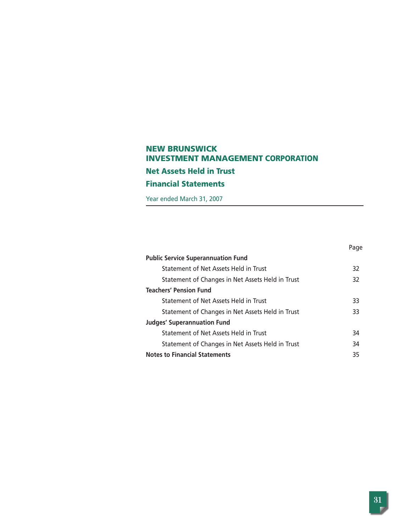# **NEW BRUNSWICK INVESTMENT MANAGEMENT CORPORATION Net Assets Held in Trust Financial Statements**

Year ended March 31, 2007

|                                                  | Page |
|--------------------------------------------------|------|
| <b>Public Service Superannuation Fund</b>        |      |
| Statement of Net Assets Held in Trust            | 32   |
| Statement of Changes in Net Assets Held in Trust | 32   |
| <b>Teachers' Pension Fund</b>                    |      |
| Statement of Net Assets Held in Trust            | 33   |
| Statement of Changes in Net Assets Held in Trust | 33   |
| <b>Judges' Superannuation Fund</b>               |      |
| Statement of Net Assets Held in Trust            | 34   |
| Statement of Changes in Net Assets Held in Trust | 34   |
| <b>Notes to Financial Statements</b>             | 35   |
|                                                  |      |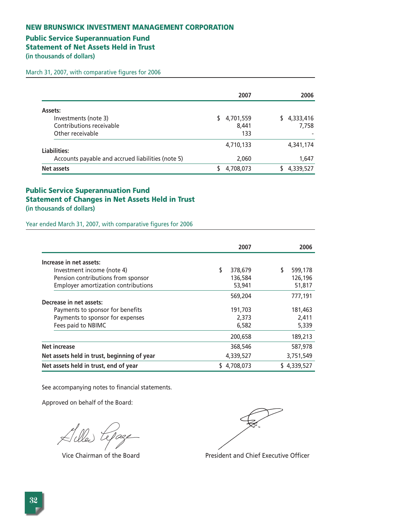# **Public Service Superannuation Fund**

**Statement of Net Assets Held in Trust** 

**(in thousands of dollars)** 

March 31, 2007, with comparative figures for 2006

|                                                                                 | 2007                      | 2006                     |
|---------------------------------------------------------------------------------|---------------------------|--------------------------|
| Assets:<br>Investments (note 3)<br>Contributions receivable<br>Other receivable | 4,701,559<br>8.441<br>133 | 4,333,416<br>S.<br>7.758 |
| Liabilities:<br>Accounts payable and accrued liabilities (note 5)               | 4,710,133<br>2,060        | 4,341,174<br>1,647       |
| Net assets                                                                      | 4,708,073                 | 4,339,527                |

# **Public Service Superannuation Fund Statement of Changes in Net Assets Held in Trust (in thousands of dollars)**

Year ended March 31, 2007, with comparative figures for 2006

|                                             | 2007          | 2006         |
|---------------------------------------------|---------------|--------------|
| Increase in net assets:                     |               |              |
| Investment income (note 4)                  | \$<br>378,679 | 599,178<br>S |
| Pension contributions from sponsor          | 136,584       | 126,196      |
| <b>Employer amortization contributions</b>  | 53,941        | 51,817       |
|                                             | 569,204       | 777,191      |
| Decrease in net assets:                     |               |              |
| Payments to sponsor for benefits            | 191,703       | 181,463      |
| Payments to sponsor for expenses            | 2,373         | 2,411        |
| Fees paid to NBIMC                          | 6,582         | 5,339        |
|                                             | 200,658       | 189,213      |
| <b>Net increase</b>                         | 368,546       | 587,978      |
| Net assets held in trust, beginning of year | 4,339,527     | 3,751,549    |
| Net assets held in trust, end of year       | 4,708,073     | \$4,339,527  |

See accompanying notes to financial statements.

 $A$ lles te

Vice Chairman of the Board President and Chief Executive Officer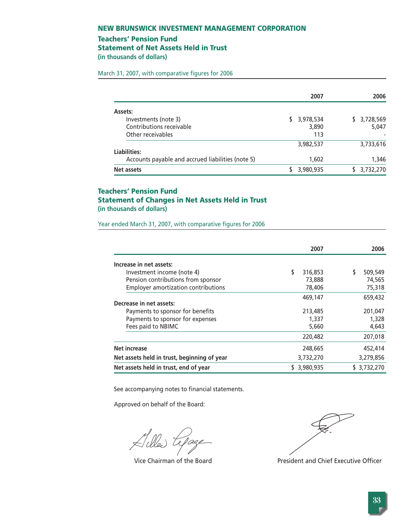## **Teachers' Pension Fund**

**Statement of Net Assets Held in Trust** 

**(in thousands of dollars)** 

March 31, 2007, with comparative figures for 2006

|                                                   | 2007            | 2006         |
|---------------------------------------------------|-----------------|--------------|
| Assets:                                           |                 |              |
| Investments (note 3)                              | 3,978,534<br>S. | \$ 3,728,569 |
| Contributions receivable                          | 3,890           | 5,047        |
| Other receivables                                 | 113             |              |
|                                                   | 3,982,537       | 3,733,616    |
| Liabilities:                                      |                 |              |
| Accounts payable and accrued liabilities (note 5) | 1,602           | 1,346        |
| Net assets                                        | 3,980,935       | 3,732,270    |

# **Teachers' Pension Fund Statement of Changes in Net Assets Held in Trust (in thousands of dollars)**

Year ended March 31, 2007, with comparative figures for 2006

|                                             | 2007           | 2006        |
|---------------------------------------------|----------------|-------------|
| Increase in net assets:                     |                |             |
| Investment income (note 4)                  | \$<br>316,853  | 509,549     |
| Pension contributions from sponsor          | 73,888         | 74,565      |
| <b>Employer amortization contributions</b>  | 78,406         | 75,318      |
|                                             | 469,147        | 659,432     |
| Decrease in net assets:                     |                |             |
| Payments to sponsor for benefits            | 213,485        | 201,047     |
| Payments to sponsor for expenses            | 1,337          | 1,328       |
| Fees paid to NBIMC                          | 5,660          | 4,643       |
|                                             | 220,482        | 207,018     |
| <b>Net increase</b>                         | 248,665        | 452,414     |
| Net assets held in trust, beginning of year | 3,732,270      | 3,279,856   |
| Net assets held in trust, end of year       | 3,980,935<br>S | \$3,732,270 |

See accompanying notes to financial statements.

Vice Chairman of the Board President and Chief Executive Officer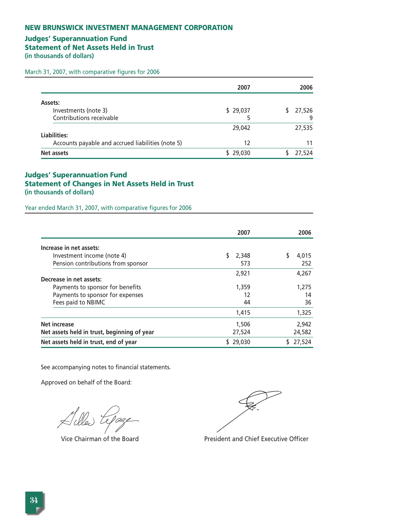# **Judges' Superannuation Fund**

**Statement of Net Assets Held in Trust** 

**(in thousands of dollars)** 

March 31, 2007, with comparative figures for 2006

|                                                   | 2007     | 2006   |
|---------------------------------------------------|----------|--------|
| Assets:                                           |          |        |
| Investments (note 3)                              | \$29,037 | 27,526 |
| Contributions receivable                          | 5        | 9      |
|                                                   | 29,042   | 27,535 |
| Liabilities:                                      |          |        |
| Accounts payable and accrued liabilities (note 5) | 12       | 11     |
| Net assets                                        | \$29,030 | 27,524 |

# **Judges' Superannuation Fund Statement of Changes in Net Assets Held in Trust (in thousands of dollars)**

Year ended March 31, 2007, with comparative figures for 2006

|                                             | 2007   | 2006   |
|---------------------------------------------|--------|--------|
| Increase in net assets:                     |        |        |
| Investment income (note 4)                  | 2,348  | 4.015  |
| Pension contributions from sponsor          | 573    | 252    |
|                                             | 2,921  | 4.267  |
| Decrease in net assets:                     |        |        |
| Payments to sponsor for benefits            | 1,359  | 1.275  |
| Payments to sponsor for expenses            | 12     | 14     |
| Fees paid to NBIMC                          | 44     | 36     |
|                                             | 1,415  | 1,325  |
| <b>Net increase</b>                         | 1,506  | 2,942  |
| Net assets held in trust, beginning of year | 27,524 | 24,582 |
| Net assets held in trust, end of year       | 29,030 | 27,524 |

See accompanying notes to financial statements.

Killed te



Vice Chairman of the Board President and Chief Executive Officer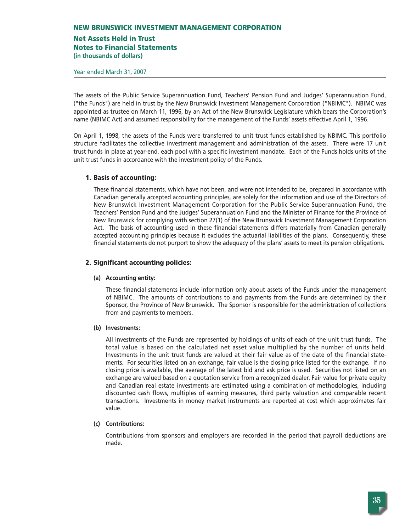# **Net Assets Held in Trust**

**Notes to Financial Statements**

**(in thousands of dollars)**

Year ended March 31, 2007

The assets of the Public Service Superannuation Fund, Teachers' Pension Fund and Judges' Superannuation Fund, ("the Funds") are held in trust by the New Brunswick Investment Management Corporation ("NBIMC"). NBIMC was appointed as trustee on March 11, 1996, by an Act of the New Brunswick Legislature which bears the Corporation's name (NBIMC Act) and assumed responsibility for the management of the Funds' assets effective April 1, 1996.

On April 1, 1998, the assets of the Funds were transferred to unit trust funds established by NBIMC. This portfolio structure facilitates the collective investment management and administration of the assets. There were 17 unit trust funds in place at year-end, each pool with a specific investment mandate. Each of the Funds holds units of the unit trust funds in accordance with the investment policy of the Funds.

# **1. Basis of accounting:**

These financial statements, which have not been, and were not intended to be, prepared in accordance with Canadian generally accepted accounting principles, are solely for the information and use of the Directors of New Brunswick Investment Management Corporation for the Public Service Superannuation Fund, the Teachers' Pension Fund and the Judges' Superannuation Fund and the Minister of Finance for the Province of New Brunswick for complying with section 27(1) of the New Brunswick Investment Management Corporation Act. The basis of accounting used in these financial statements differs materially from Canadian generally accepted accounting principles because it excludes the actuarial liabilities of the plans. Consequently, these financial statements do not purport to show the adequacy of the plans' assets to meet its pension obligations.

# **2. Significant accounting policies:**

#### **(a) Accounting entity:**

These financial statements include information only about assets of the Funds under the management of NBIMC. The amounts of contributions to and payments from the Funds are determined by their Sponsor, the Province of New Brunswick. The Sponsor is responsible for the administration of collections from and payments to members.

#### **(b) Investments:**

All investments of the Funds are represented by holdings of units of each of the unit trust funds. The total value is based on the calculated net asset value multiplied by the number of units held. Investments in the unit trust funds are valued at their fair value as of the date of the financial statements. For securities listed on an exchange, fair value is the closing price listed for the exchange. If no closing price is available, the average of the latest bid and ask price is used. Securities not listed on an exchange are valued based on a quotation service from a recognized dealer. Fair value for private equity and Canadian real estate investments are estimated using a combination of methodologies, including discounted cash flows, multiples of earning measures, third party valuation and comparable recent transactions. Investments in money market instruments are reported at cost which approximates fair value.

#### **(c) Contributions:**

Contributions from sponsors and employers are recorded in the period that payroll deductions are made.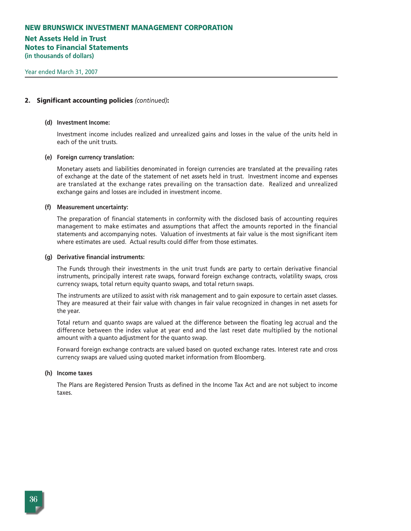# **Net Assets Held in Trust Notes to Financial Statements**

**(in thousands of dollars)**

#### **2. Significant accounting policies** *(continued)***:**

#### **(d) Investment Income:**

Investment income includes realized and unrealized gains and losses in the value of the units held in each of the unit trusts.

#### **(e) Foreign currency translation:**

Monetary assets and liabilities denominated in foreign currencies are translated at the prevailing rates of exchange at the date of the statement of net assets held in trust. Investment income and expenses are translated at the exchange rates prevailing on the transaction date. Realized and unrealized exchange gains and losses are included in investment income.

#### **(f) Measurement uncertainty:**

The preparation of financial statements in conformity with the disclosed basis of accounting requires management to make estimates and assumptions that affect the amounts reported in the financial statements and accompanying notes. Valuation of investments at fair value is the most significant item where estimates are used. Actual results could differ from those estimates.

#### **(g) Derivative financial instruments:**

The Funds through their investments in the unit trust funds are party to certain derivative financial instruments, principally interest rate swaps, forward foreign exchange contracts, volatility swaps, cross currency swaps, total return equity quanto swaps, and total return swaps.

The instruments are utilized to assist with risk management and to gain exposure to certain asset classes. They are measured at their fair value with changes in fair value recognized in changes in net assets for the year.

Total return and quanto swaps are valued at the difference between the floating leg accrual and the difference between the index value at year end and the last reset date multiplied by the notional amount with a quanto adjustment for the quanto swap.

Forward foreign exchange contracts are valued based on quoted exchange rates. Interest rate and cross currency swaps are valued using quoted market information from Bloomberg.

#### **(h) Income taxes**

The Plans are Registered Pension Trusts as defined in the Income Tax Act and are not subject to income taxes.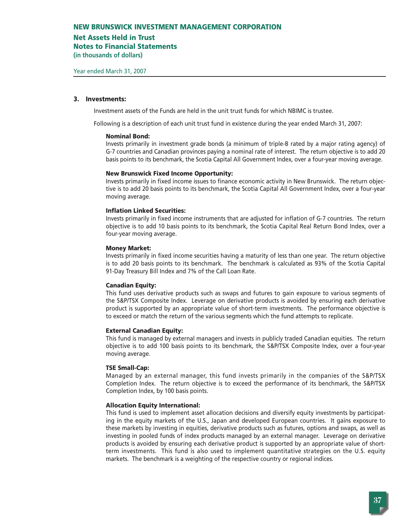### **Net Assets Held in Trust**

**Notes to Financial Statements**

**(in thousands of dollars)**

#### **3. Investments:**

Investment assets of the Funds are held in the unit trust funds for which NBIMC is trustee.

Following is a description of each unit trust fund in existence during the year ended March 31, 2007:

#### **Nominal Bond:**

Invests primarily in investment grade bonds (a minimum of triple-B rated by a major rating agency) of G-7 countries and Canadian provinces paying a nominal rate of interest. The return objective is to add 20 basis points to its benchmark, the Scotia Capital All Government Index, over a four-year moving average.

#### **New Brunswick Fixed Income Opportunity:**

Invests primarily in fixed income issues to finance economic activity in New Brunswick. The return objective is to add 20 basis points to its benchmark, the Scotia Capital All Government Index, over a four-year moving average.

#### **Inflation Linked Securities:**

Invests primarily in fixed income instruments that are adjusted for inflation of G-7 countries. The return objective is to add 10 basis points to its benchmark, the Scotia Capital Real Return Bond Index, over a four-year moving average.

#### **Money Market:**

Invests primarily in fixed income securities having a maturity of less than one year. The return objective is to add 20 basis points to its benchmark. The benchmark is calculated as 93% of the Scotia Capital 91-Day Treasury Bill Index and 7% of the Call Loan Rate.

#### **Canadian Equity:**

This fund uses derivative products such as swaps and futures to gain exposure to various segments of the S&P/TSX Composite Index. Leverage on derivative products is avoided by ensuring each derivative product is supported by an appropriate value of short-term investments. The performance objective is to exceed or match the return of the various segments which the fund attempts to replicate.

#### **External Canadian Equity:**

This fund is managed by external managers and invests in publicly traded Canadian equities. The return objective is to add 100 basis points to its benchmark, the S&P/TSX Composite Index, over a four-year moving average.

#### **TSE Small-Cap:**

Managed by an external manager, this fund invests primarily in the companies of the S&P/TSX Completion Index. The return objective is to exceed the performance of its benchmark, the S&P/TSX Completion Index, by 100 basis points.

#### **Allocation Equity International:**

This fund is used to implement asset allocation decisions and diversify equity investments by participating in the equity markets of the U.S., Japan and developed European countries. It gains exposure to these markets by investing in equities, derivative products such as futures, options and swaps, as well as investing in pooled funds of index products managed by an external manager. Leverage on derivative products is avoided by ensuring each derivative product is supported by an appropriate value of shortterm investments. This fund is also used to implement quantitative strategies on the U.S. equity markets. The benchmark is a weighting of the respective country or regional indices.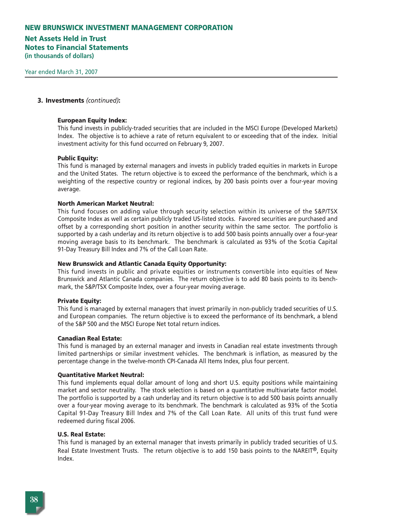# **Net Assets Held in Trust Notes to Financial Statements**

**(in thousands of dollars)**

#### **3. Investments** *(continued)***:**

#### **European Equity Index:**

This fund invests in publicly-traded securities that are included in the MSCI Europe (Developed Markets) Index. The objective is to achieve a rate of return equivalent to or exceeding that of the index. Initial investment activity for this fund occurred on February 9, 2007.

#### **Public Equity:**

This fund is managed by external managers and invests in publicly traded equities in markets in Europe and the United States. The return objective is to exceed the performance of the benchmark, which is a weighting of the respective country or regional indices, by 200 basis points over a four-year moving average.

#### **North American Market Neutral:**

This fund focuses on adding value through security selection within its universe of the S&P/TSX Composite Index as well as certain publicly traded US-listed stocks. Favored securities are purchased and offset by a corresponding short position in another security within the same sector. The portfolio is supported by a cash underlay and its return objective is to add 500 basis points annually over a four-year moving average basis to its benchmark. The benchmark is calculated as 93% of the Scotia Capital 91-Day Treasury Bill Index and 7% of the Call Loan Rate.

#### **New Brunswick and Atlantic Canada Equity Opportunity:**

This fund invests in public and private equities or instruments convertible into equities of New Brunswick and Atlantic Canada companies. The return objective is to add 80 basis points to its benchmark, the S&P/TSX Composite Index, over a four-year moving average.

#### **Private Equity:**

This fund is managed by external managers that invest primarily in non-publicly traded securities of U.S. and European companies. The return objective is to exceed the performance of its benchmark, a blend of the S&P 500 and the MSCI Europe Net total return indices.

#### **Canadian Real Estate:**

This fund is managed by an external manager and invests in Canadian real estate investments through limited partnerships or similar investment vehicles. The benchmark is inflation, as measured by the percentage change in the twelve-month CPI-Canada All Items Index, plus four percent.

#### **Quantitative Market Neutral:**

This fund implements equal dollar amount of long and short U.S. equity positions while maintaining market and sector neutrality. The stock selection is based on a quantitative multivariate factor model. The portfolio is supported by a cash underlay and its return objective is to add 500 basis points annually over a four-year moving average to its benchmark. The benchmark is calculated as 93% of the Scotia Capital 91-Day Treasury Bill Index and 7% of the Call Loan Rate. All units of this trust fund were redeemed during fiscal 2006.

#### **U.S. Real Estate:**

This fund is managed by an external manager that invests primarily in publicly traded securities of U.S. Real Estate Investment Trusts. The return objective is to add 150 basis points to the NAREIT®, Equity Index.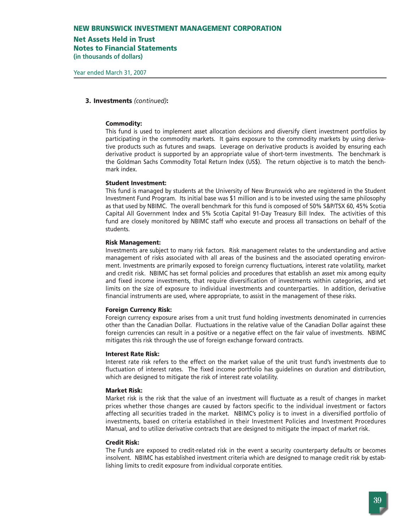# **Net Assets Held in Trust**

**Notes to Financial Statements**

**(in thousands of dollars)**

#### **3. Investments** *(continued)***:**

#### **Commodity:**

This fund is used to implement asset allocation decisions and diversify client investment portfolios by participating in the commodity markets. It gains exposure to the commodity markets by using derivative products such as futures and swaps. Leverage on derivative products is avoided by ensuring each derivative product is supported by an appropriate value of short-term investments. The benchmark is the Goldman Sachs Commodity Total Return Index (US\$). The return objective is to match the benchmark index.

#### **Student Investment:**

This fund is managed by students at the University of New Brunswick who are registered in the Student Investment Fund Program. Its initial base was \$1 million and is to be invested using the same philosophy as that used by NBIMC. The overall benchmark for this fund is composed of 50% S&P/TSX 60, 45% Scotia Capital All Government Index and 5% Scotia Capital 91-Day Treasury Bill Index. The activities of this fund are closely monitored by NBIMC staff who execute and process all transactions on behalf of the students.

#### **Risk Management:**

Investments are subject to many risk factors. Risk management relates to the understanding and active management of risks associated with all areas of the business and the associated operating environment. Investments are primarily exposed to foreign currency fluctuations, interest rate volatility, market and credit risk. NBIMC has set formal policies and procedures that establish an asset mix among equity and fixed income investments, that require diversification of investments within categories, and set limits on the size of exposure to individual investments and counterparties. In addition, derivative financial instruments are used, where appropriate, to assist in the management of these risks.

#### **Foreign Currency Risk:**

Foreign currency exposure arises from a unit trust fund holding investments denominated in currencies other than the Canadian Dollar. Fluctuations in the relative value of the Canadian Dollar against these foreign currencies can result in a positive or a negative effect on the fair value of investments. NBIMC mitigates this risk through the use of foreign exchange forward contracts.

#### **Interest Rate Risk:**

Interest rate risk refers to the effect on the market value of the unit trust fund's investments due to fluctuation of interest rates. The fixed income portfolio has guidelines on duration and distribution, which are designed to mitigate the risk of interest rate volatility.

#### **Market Risk:**

Market risk is the risk that the value of an investment will fluctuate as a result of changes in market prices whether those changes are caused by factors specific to the individual investment or factors affecting all securities traded in the market. NBIMC's policy is to invest in a diversified portfolio of investments, based on criteria established in their Investment Policies and Investment Procedures Manual, and to utilize derivative contracts that are designed to mitigate the impact of market risk.

#### **Credit Risk:**

The Funds are exposed to credit-related risk in the event a security counterparty defaults or becomes insolvent. NBIMC has established investment criteria which are designed to manage credit risk by establishing limits to credit exposure from individual corporate entities.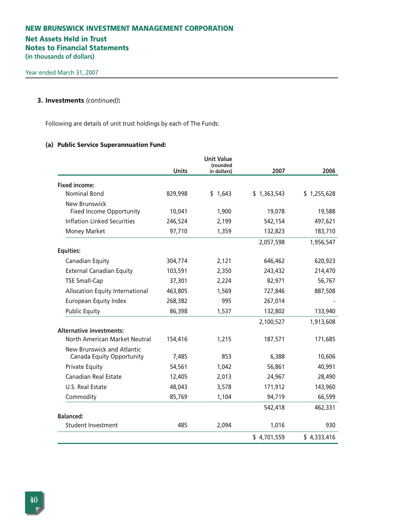# **Net Assets Held in Trust Notes to Financial Statements**

**(in thousands of dollars)**

# **3. Investments** *(continued)***:**

Following are details of unit trust holdings by each of The Funds:

# **(a) Public Service Superannuation Fund:**

|                                    |              | <b>Unit Value</b><br>(rounded |             |             |
|------------------------------------|--------------|-------------------------------|-------------|-------------|
|                                    | <b>Units</b> | in dollars)                   | 2007        | 2006        |
| <b>Fixed income:</b>               |              |                               |             |             |
| <b>Nominal Bond</b>                | 829,998      | \$1,643                       | \$1,363,543 | \$1,255,628 |
| <b>New Brunswick</b>               |              |                               |             |             |
| <b>Fixed Income Opportunity</b>    | 10,041       | 1,900                         | 19,078      | 19,588      |
| <b>Inflation Linked Securities</b> | 246,524      | 2,199                         | 542,154     | 497,621     |
| Money Market                       | 97,710       | 1,359                         | 132,823     | 183,710     |
|                                    |              |                               | 2,057,598   | 1,956,547   |
| <b>Equities:</b>                   |              |                               |             |             |
| Canadian Equity                    | 304,774      | 2,121                         | 646,462     | 620,923     |
| <b>External Canadian Equity</b>    | 103,591      | 2,350                         | 243,432     | 214,470     |
| <b>TSE Small-Cap</b>               | 37,301       | 2,224                         | 82,971      | 56,767      |
| Allocation Equity International    | 463,805      | 1,569                         | 727,846     | 887,508     |
| <b>European Equity Index</b>       | 268,382      | 995                           | 267,014     |             |
| <b>Public Equity</b>               | 86,398       | 1,537                         | 132,802     | 133,940     |
|                                    |              |                               | 2,100,527   | 1,913,608   |
| <b>Alternative investments:</b>    |              |                               |             |             |
| North American Market Neutral      | 154,416      | 1,215                         | 187,571     | 171,685     |
| New Brunswick and Atlantic         |              |                               |             |             |
| Canada Equity Opportunity          | 7,485        | 853                           | 6,388       | 10,606      |
| <b>Private Equity</b>              | 54,561       | 1,042                         | 56,861      | 40,991      |
| <b>Canadian Real Estate</b>        | 12,405       | 2,013                         | 24,967      | 28,490      |
| U.S. Real Estate                   | 48,043       | 3,578                         | 171,912     | 143,960     |
| Commodity                          | 85,769       | 1,104                         | 94,719      | 66,599      |
|                                    |              |                               | 542,418     | 462,331     |
| <b>Balanced:</b>                   |              |                               |             |             |
| Student Investment                 | 485          | 2,094                         | 1,016       | 930         |
|                                    |              |                               | \$4,701,559 | \$4,333,416 |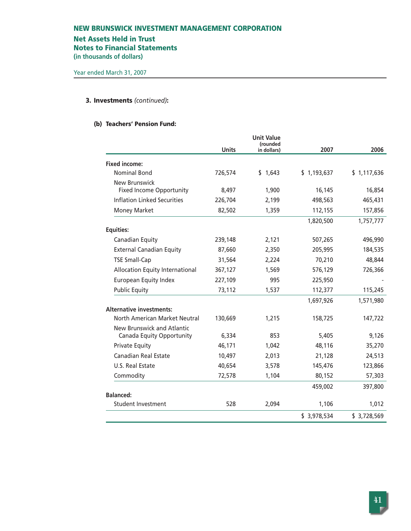# **Net Assets Held in Trust**

**Notes to Financial Statements**

**(in thousands of dollars)**

# **3. Investments** *(continued)***:**

# **(b) Teachers' Pension Fund:**

|                                        |              | <b>Unit Value</b><br>(rounded |             |             |
|----------------------------------------|--------------|-------------------------------|-------------|-------------|
|                                        | <b>Units</b> | in dollars)                   | 2007        | 2006        |
| <b>Fixed income:</b>                   |              |                               |             |             |
| <b>Nominal Bond</b>                    | 726,574      | \$1,643                       | \$1,193,637 | \$1,117,636 |
| New Brunswick                          |              |                               |             |             |
| <b>Fixed Income Opportunity</b>        | 8,497        | 1,900                         | 16,145      | 16,854      |
| <b>Inflation Linked Securities</b>     | 226,704      | 2,199                         | 498,563     | 465,431     |
| <b>Money Market</b>                    | 82,502       | 1,359                         | 112,155     | 157,856     |
|                                        |              |                               | 1,820,500   | 1,757,777   |
| <b>Equities:</b>                       |              |                               |             |             |
| Canadian Equity                        | 239,148      | 2,121                         | 507,265     | 496,990     |
| <b>External Canadian Equity</b>        | 87,660       | 2,350                         | 205,995     | 184,535     |
| <b>TSE Small-Cap</b>                   | 31,564       | 2,224                         | 70,210      | 48,844      |
| <b>Allocation Equity International</b> | 367,127      | 1,569                         | 576,129     | 726,366     |
| <b>European Equity Index</b>           | 227,109      | 995                           | 225,950     |             |
| <b>Public Equity</b>                   | 73,112       | 1,537                         | 112,377     | 115,245     |
|                                        |              |                               | 1,697,926   | 1,571,980   |
| <b>Alternative investments:</b>        |              |                               |             |             |
| North American Market Neutral          | 130,669      | 1,215                         | 158,725     | 147,722     |
| New Brunswick and Atlantic             |              |                               |             |             |
| Canada Equity Opportunity              | 6,334        | 853                           | 5,405       | 9,126       |
| <b>Private Equity</b>                  | 46,171       | 1,042                         | 48,116      | 35,270      |
| Canadian Real Estate                   | 10,497       | 2,013                         | 21,128      | 24,513      |
| U.S. Real Estate                       | 40,654       | 3,578                         | 145,476     | 123,866     |
| Commodity                              | 72,578       | 1,104                         | 80,152      | 57,303      |
|                                        |              |                               | 459,002     | 397,800     |
| <b>Balanced:</b>                       |              |                               |             |             |
| <b>Student Investment</b>              | 528          | 2,094                         | 1,106       | 1,012       |
|                                        |              |                               | \$3,978,534 | \$3,728,569 |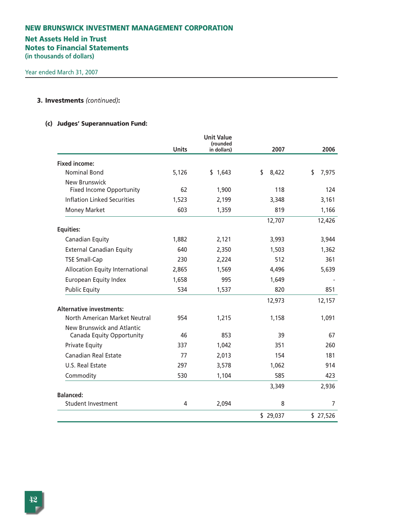# **NEW BRUNSWICK INVESTMENT MANAGEMENT CORPORATION Net Assets Held in Trust Notes to Financial Statements (in thousands of dollars)**

# **3. Investments** *(continued)***:**

# **(c) Judges' Superannuation Fund:**

|                                                         | <b>Units</b> | <b>Unit Value</b><br>(rounded<br>in dollars) | 2007        | 2006        |
|---------------------------------------------------------|--------------|----------------------------------------------|-------------|-------------|
| <b>Fixed income:</b>                                    |              |                                              |             |             |
| <b>Nominal Bond</b>                                     | 5,126        | \$1,643                                      | \$<br>8,422 | \$<br>7,975 |
| New Brunswick<br><b>Fixed Income Opportunity</b>        | 62           | 1,900                                        | 118         | 124         |
| <b>Inflation Linked Securities</b>                      | 1,523        | 2,199                                        | 3,348       | 3,161       |
| <b>Money Market</b>                                     | 603          | 1,359                                        | 819         | 1,166       |
|                                                         |              |                                              | 12,707      | 12,426      |
| <b>Equities:</b>                                        |              |                                              |             |             |
| Canadian Equity                                         | 1,882        | 2,121                                        | 3,993       | 3,944       |
| <b>External Canadian Equity</b>                         | 640          | 2,350                                        | 1,503       | 1,362       |
| <b>TSE Small-Cap</b>                                    | 230          | 2,224                                        | 512         | 361         |
| <b>Allocation Equity International</b>                  | 2,865        | 1,569                                        | 4,496       | 5,639       |
| <b>European Equity Index</b>                            | 1,658        | 995                                          | 1,649       |             |
| <b>Public Equity</b>                                    | 534          | 1,537                                        | 820         | 851         |
|                                                         |              |                                              | 12,973      | 12,157      |
| <b>Alternative investments:</b>                         |              |                                              |             |             |
| North American Market Neutral                           | 954          | 1,215                                        | 1,158       | 1,091       |
| New Brunswick and Atlantic<br>Canada Equity Opportunity | 46           | 853                                          | 39          | 67          |
| <b>Private Equity</b>                                   | 337          | 1,042                                        | 351         | 260         |
| Canadian Real Estate                                    | 77           | 2,013                                        | 154         | 181         |
| U.S. Real Estate                                        | 297          | 3,578                                        | 1,062       | 914         |
| Commodity                                               | 530          | 1,104                                        | 585         | 423         |
|                                                         |              |                                              | 3,349       | 2,936       |
| <b>Balanced:</b>                                        |              |                                              |             |             |
| <b>Student Investment</b>                               | 4            | 2,094                                        | 8           | 7           |
|                                                         |              |                                              | \$29,037    | \$27,526    |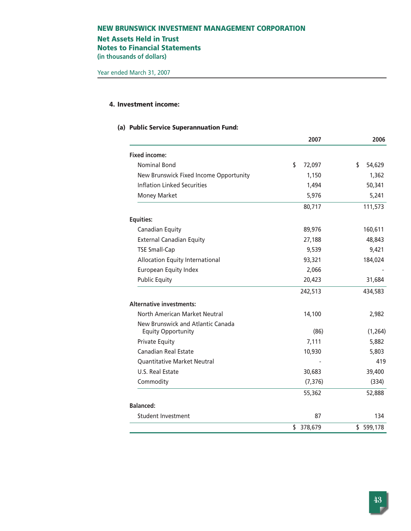# **Net Assets Held in Trust Notes to Financial Statements**

**(in thousands of dollars)**

# **4. Investment income:**

## **(a) Public Service Superannuation Fund:**

|                                                                | 2007          | 2006         |
|----------------------------------------------------------------|---------------|--------------|
| <b>Fixed income:</b>                                           |               |              |
| <b>Nominal Bond</b>                                            | \$<br>72,097  | \$<br>54,629 |
| New Brunswick Fixed Income Opportunity                         | 1,150         | 1,362        |
| Inflation Linked Securities                                    | 1,494         | 50,341       |
| <b>Money Market</b>                                            | 5,976         | 5,241        |
|                                                                | 80,717        | 111,573      |
| <b>Equities:</b>                                               |               |              |
| Canadian Equity                                                | 89,976        | 160,611      |
| <b>External Canadian Equity</b>                                | 27,188        | 48,843       |
| <b>TSE Small-Cap</b>                                           | 9,539         | 9,421        |
| <b>Allocation Equity International</b>                         | 93,321        | 184,024      |
| <b>European Equity Index</b>                                   | 2,066         |              |
| <b>Public Equity</b>                                           | 20,423        | 31,684       |
|                                                                | 242,513       | 434,583      |
| <b>Alternative investments:</b>                                |               |              |
| North American Market Neutral                                  | 14,100        | 2,982        |
| New Brunswick and Atlantic Canada<br><b>Equity Opportunity</b> | (86)          | (1, 264)     |
| <b>Private Equity</b>                                          | 7,111         | 5,882        |
| <b>Canadian Real Estate</b>                                    | 10,930        | 5,803        |
| <b>Quantitative Market Neutral</b>                             |               | 419          |
| U.S. Real Estate                                               | 30,683        | 39,400       |
| Commodity                                                      | (7, 376)      | (334)        |
|                                                                | 55,362        | 52,888       |
| <b>Balanced:</b>                                               |               |              |
| <b>Student Investment</b>                                      | 87            | 134          |
|                                                                | \$<br>378,679 | \$599,178    |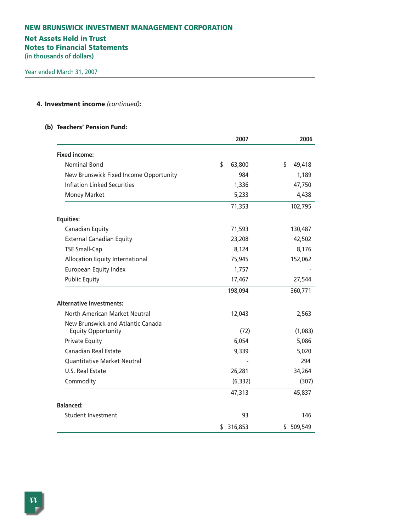# **Net Assets Held in Trust**

**Notes to Financial Statements**

**(in thousands of dollars)**

# **4. Investment income** *(continued)***:**

#### **(b) Teachers' Pension Fund:**

|                                        | 2007          | 2006         |
|----------------------------------------|---------------|--------------|
| <b>Fixed income:</b>                   |               |              |
| <b>Nominal Bond</b>                    | \$<br>63,800  | \$<br>49,418 |
| New Brunswick Fixed Income Opportunity | 984           | 1,189        |
| <b>Inflation Linked Securities</b>     | 1,336         | 47,750       |
| <b>Money Market</b>                    | 5,233         | 4,438        |
|                                        | 71,353        | 102,795      |
| <b>Equities:</b>                       |               |              |
| Canadian Equity                        | 71,593        | 130,487      |
| <b>External Canadian Equity</b>        | 23,208        | 42,502       |
| <b>TSE Small-Cap</b>                   | 8,124         | 8,176        |
| <b>Allocation Equity International</b> | 75,945        | 152,062      |
| <b>European Equity Index</b>           | 1,757         |              |
| <b>Public Equity</b>                   | 17,467        | 27,544       |
|                                        | 198,094       | 360,771      |
| <b>Alternative investments:</b>        |               |              |
| North American Market Neutral          | 12,043        | 2,563        |
| New Brunswick and Atlantic Canada      |               |              |
| <b>Equity Opportunity</b>              | (72)          | (1,083)      |
| <b>Private Equity</b>                  | 6,054         | 5,086        |
| <b>Canadian Real Estate</b>            | 9,339         | 5,020        |
| <b>Quantitative Market Neutral</b>     |               | 294          |
| U.S. Real Estate                       | 26,281        | 34,264       |
| Commodity                              | (6, 332)      | (307)        |
|                                        | 47,313        | 45,837       |
| <b>Balanced:</b>                       |               |              |
| Student Investment                     | 93            | 146          |
|                                        | \$<br>316,853 | \$509,549    |